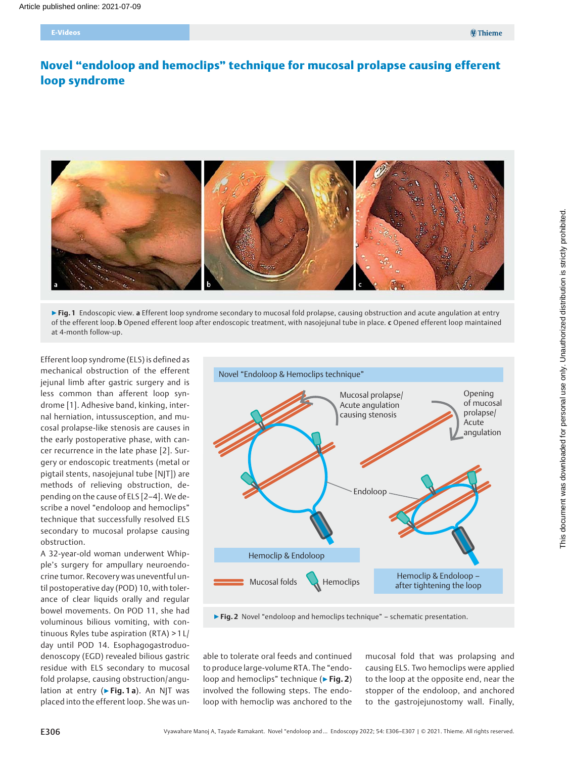# Novel "endoloop and hemoclips" technique for mucosal prolapse causing efferent loop syndrome



▶ Fig. 1 Endoscopic view. a Efferent loop syndrome secondary to mucosal fold prolapse, causing obstruction and acute angulation at entry of the efferent loop. b Opened efferent loop after endoscopic treatment, with nasojejunal tube in place. c Opened efferent loop maintained at 4-month follow-up.

Efferent loop syndrome (ELS) is defined as mechanical obstruction of the efferent jejunal limb after gastric surgery and is less common than afferent loop syndrome [1]. Adhesive band, kinking, internal herniation, intussusception, and mucosal prolapse-like stenosis are causes in the early postoperative phase, with cancer recurrence in the late phase [2]. Surgery or endoscopic treatments (metal or pigtail stents, nasojejunal tube [NJT]) are methods of relieving obstruction, depending on the cause of ELS [2–4]. We describe a novel "endoloop and hemoclips" technique that successfully resolved ELS secondary to mucosal prolapse causing obstruction.

A 32-year-old woman underwent Whipple's surgery for ampullary neuroendocrine tumor. Recovery was uneventful until postoperative day (POD) 10, with tolerance of clear liquids orally and regular bowel movements. On POD 11, she had voluminous bilious vomiting, with continuous Ryles tube aspiration (RTA) > 1 L/ day until POD 14. Esophagogastroduodenoscopy (EGD) revealed bilious gastric residue with ELS secondary to mucosal fold prolapse, causing obstruction/angulation at entry ( $\triangleright$  Fig. 1 a). An NJT was placed into the efferent loop. She was un-



able to tolerate oral feeds and continued to produce large-volume RTA. The "endoloop and hemoclips" technique ( $\triangleright$  Fig. 2) involved the following steps. The endoloop with hemoclip was anchored to the

mucosal fold that was prolapsing and causing ELS. Two hemoclips were applied to the loop at the opposite end, near the stopper of the endoloop, and anchored to the gastrojejunostomy wall. Finally,